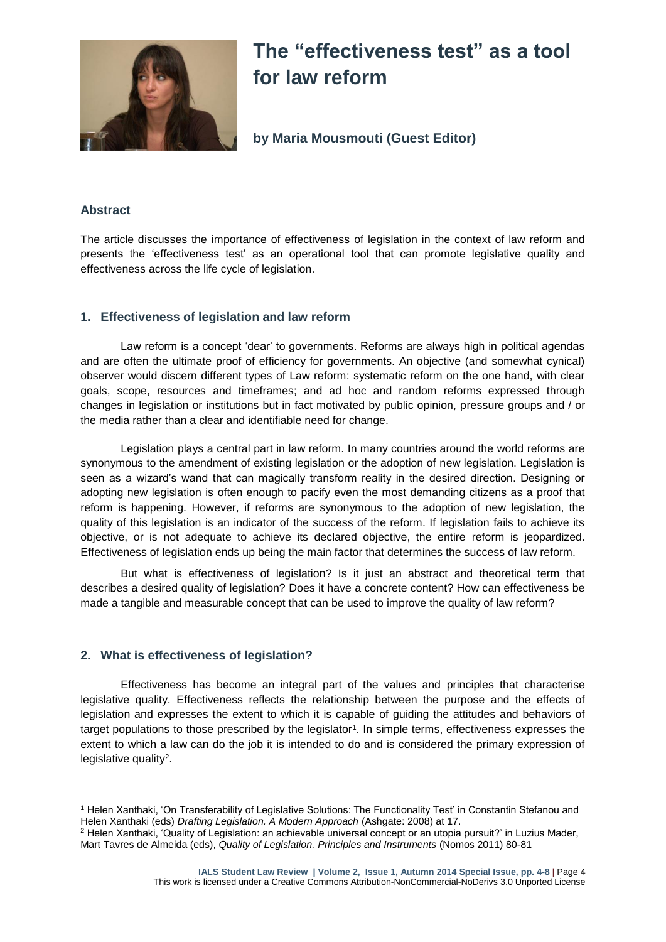

# **The "effectiveness test" as a tool for law reform**

**by Maria Mousmouti (Guest Editor)**

## **Abstract**

1

The article discusses the importance of effectiveness of legislation in the context of law reform and presents the 'effectiveness test' as an operational tool that can promote legislative quality and effectiveness across the life cycle of legislation.

## **1. Effectiveness of legislation and law reform**

Law reform is a concept 'dear' to governments. Reforms are always high in political agendas and are often the ultimate proof of efficiency for governments. An objective (and somewhat cynical) observer would discern different types of Law reform: systematic reform on the one hand, with clear goals, scope, resources and timeframes; and ad hoc and random reforms expressed through changes in legislation or institutions but in fact motivated by public opinion, pressure groups and / or the media rather than a clear and identifiable need for change.

Legislation plays a central part in law reform. In many countries around the world reforms are synonymous to the amendment of existing legislation or the adoption of new legislation. Legislation is seen as a wizard's wand that can magically transform reality in the desired direction. Designing or adopting new legislation is often enough to pacify even the most demanding citizens as a proof that reform is happening. However, if reforms are synonymous to the adoption of new legislation, the quality of this legislation is an indicator of the success of the reform. If legislation fails to achieve its objective, or is not adequate to achieve its declared objective, the entire reform is jeopardized. Effectiveness of legislation ends up being the main factor that determines the success of law reform.

But what is effectiveness of legislation? Is it just an abstract and theoretical term that describes a desired quality of legislation? Does it have a concrete content? How can effectiveness be made a tangible and measurable concept that can be used to improve the quality of law reform?

## **2. What is effectiveness of legislation?**

Effectiveness has become an integral part of the values and principles that characterise legislative quality. Effectiveness reflects the relationship between the purpose and the effects of legislation and expresses the extent to which it is capable of guiding the attitudes and behaviors of target populations to those prescribed by the legislator<sup>1</sup>. In simple terms, effectiveness expresses the extent to which a law can do the job it is intended to do and is considered the primary expression of legislative quality<sup>2</sup> .

<sup>1</sup> Helen Xanthaki, 'On Transferability of Legislative Solutions: The Functionality Test' in Constantin Stefanou and Helen Xanthaki (eds) *Drafting Legislation. A Modern Approach* (Ashgate: 2008) at 17.

<sup>2</sup> Helen Xanthaki, 'Quality of Legislation: an achievable universal concept or an utopia pursuit?' in Luzius Mader, Mart Tavres de Almeida (eds), *Quality of Legislation. Principles and Instruments* (Nomos 2011) 80-81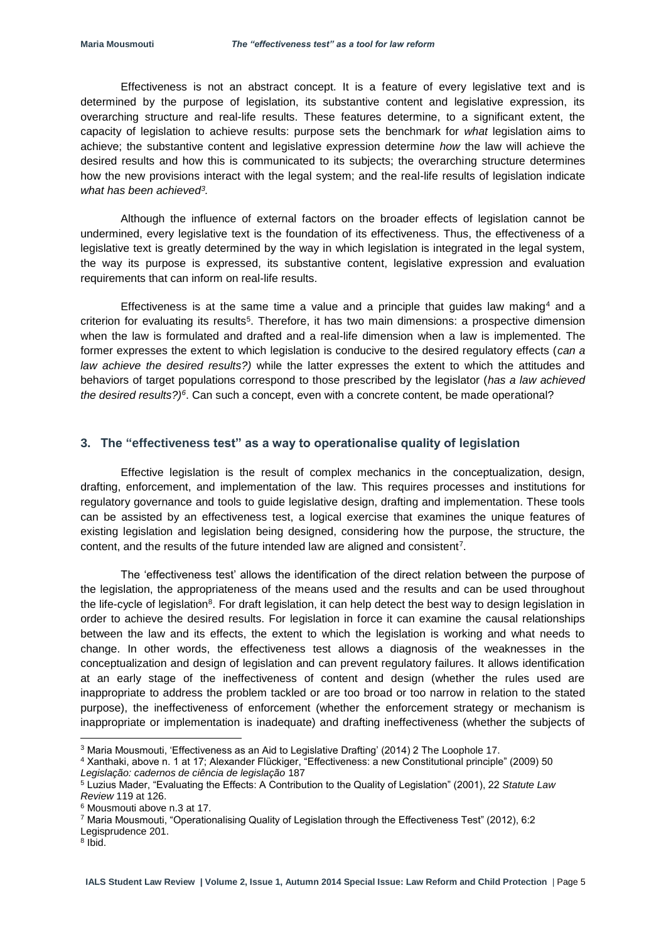Effectiveness is not an abstract concept. It is a feature of every legislative text and is determined by the purpose of legislation, its substantive content and legislative expression, its overarching structure and real-life results. These features determine, to a significant extent, the capacity of legislation to achieve results: purpose sets the benchmark for *what* legislation aims to achieve; the substantive content and legislative expression determine *how* the law will achieve the desired results and how this is communicated to its subjects; the overarching structure determines how the new provisions interact with the legal system; and the real-life results of legislation indicate *what has been achieved<sup>3</sup> .* 

Although the influence of external factors on the broader effects of legislation cannot be undermined, every legislative text is the foundation of its effectiveness. Thus, the effectiveness of a legislative text is greatly determined by the way in which legislation is integrated in the legal system, the way its purpose is expressed, its substantive content, legislative expression and evaluation requirements that can inform on real-life results.

Effectiveness is at the same time a value and a principle that guides law making<sup>4</sup> and a criterion for evaluating its results<sup>5</sup>. Therefore, it has two main dimensions: a prospective dimension when the law is formulated and drafted and a real-life dimension when a law is implemented. The former expresses the extent to which legislation is conducive to the desired regulatory effects (*can a law achieve the desired results?)* while the latter expresses the extent to which the attitudes and behaviors of target populations correspond to those prescribed by the legislator (*has a law achieved*  the desired results?)<sup>6</sup>. Can such a concept, even with a concrete content, be made operational?

#### **3. The "effectiveness test" as a way to operationalise quality of legislation**

Effective legislation is the result of complex mechanics in the conceptualization, design, drafting, enforcement, and implementation of the law. This requires processes and institutions for regulatory governance and tools to guide legislative design, drafting and implementation. These tools can be assisted by an effectiveness test, a logical exercise that examines the unique features of existing legislation and legislation being designed, considering how the purpose, the structure, the content, and the results of the future intended law are aligned and consistent<sup>7</sup>.

The 'effectiveness test' allows the identification of the direct relation between the purpose of the legislation, the appropriateness of the means used and the results and can be used throughout the life-cycle of legislation<sup>8</sup>. For draft legislation, it can help detect the best way to design legislation in order to achieve the desired results. For legislation in force it can examine the causal relationships between the law and its effects, the extent to which the legislation is working and what needs to change. In other words, the effectiveness test allows a diagnosis of the weaknesses in the conceptualization and design of legislation and can prevent regulatory failures. It allows identification at an early stage of the ineffectiveness of content and design (whether the rules used are inappropriate to address the problem tackled or are too broad or too narrow in relation to the stated purpose), the ineffectiveness of enforcement (whether the enforcement strategy or mechanism is inappropriate or implementation is inadequate) and drafting ineffectiveness (whether the subjects of

**.** 

<sup>3</sup> Maria Mousmouti, 'Effectiveness as an Aid to Legislative Drafting' (2014) 2 The Loophole 17.

<sup>4</sup> Xanthaki, above n. 1 at 17; Alexander Flückiger, "Effectiveness: a new Constitutional principle" (2009) 50 *Legislação: cadernos de ciência de legislação* 187

<sup>5</sup> Luzius Mader, "Evaluating the Effects: A Contribution to the Quality of Legislation" (2001), 22 *Statute Law Review* 119 at 126.

<sup>6</sup> Mousmouti above n.3 at 17.

<sup>7</sup> Maria Mousmouti, "Operationalising Quality of Legislation through the Effectiveness Test" (2012), 6:2

Legisprudence 201.

<sup>8</sup> Ibid.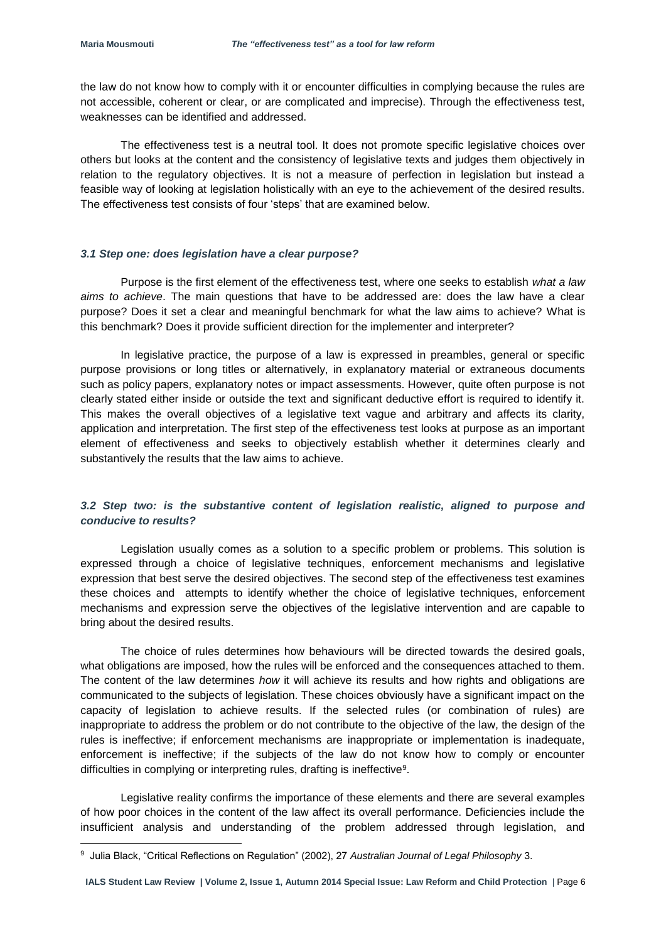**.** 

the law do not know how to comply with it or encounter difficulties in complying because the rules are not accessible, coherent or clear, or are complicated and imprecise). Through the effectiveness test, weaknesses can be identified and addressed.

The effectiveness test is a neutral tool. It does not promote specific legislative choices over others but looks at the content and the consistency of legislative texts and judges them objectively in relation to the regulatory objectives. It is not a measure of perfection in legislation but instead a feasible way of looking at legislation holistically with an eye to the achievement of the desired results. The effectiveness test consists of four 'steps' that are examined below.

### *3.1 Step one: does legislation have a clear purpose?*

Purpose is the first element of the effectiveness test, where one seeks to establish *what a law aims to achieve*. The main questions that have to be addressed are: does the law have a clear purpose? Does it set a clear and meaningful benchmark for what the law aims to achieve? What is this benchmark? Does it provide sufficient direction for the implementer and interpreter?

In legislative practice, the purpose of a law is expressed in preambles, general or specific purpose provisions or long titles or alternatively, in explanatory material or extraneous documents such as policy papers, explanatory notes or impact assessments. However, quite often purpose is not clearly stated either inside or outside the text and significant deductive effort is required to identify it. This makes the overall objectives of a legislative text vague and arbitrary and affects its clarity, application and interpretation. The first step of the effectiveness test looks at purpose as an important element of effectiveness and seeks to objectively establish whether it determines clearly and substantively the results that the law aims to achieve.

## *3.2 Step two: is the substantive content of legislation realistic, aligned to purpose and conducive to results?*

Legislation usually comes as a solution to a specific problem or problems. This solution is expressed through a choice of legislative techniques, enforcement mechanisms and legislative expression that best serve the desired objectives. The second step of the effectiveness test examines these choices and attempts to identify whether the choice of legislative techniques, enforcement mechanisms and expression serve the objectives of the legislative intervention and are capable to bring about the desired results.

The choice of rules determines how behaviours will be directed towards the desired goals, what obligations are imposed, how the rules will be enforced and the consequences attached to them. The content of the law determines *how* it will achieve its results and how rights and obligations are communicated to the subjects of legislation. These choices obviously have a significant impact on the capacity of legislation to achieve results. If the selected rules (or combination of rules) are inappropriate to address the problem or do not contribute to the objective of the law, the design of the rules is ineffective; if enforcement mechanisms are inappropriate or implementation is inadequate, enforcement is ineffective; if the subjects of the law do not know how to comply or encounter difficulties in complying or interpreting rules, drafting is ineffective<sup>9</sup>.

Legislative reality confirms the importance of these elements and there are several examples of how poor choices in the content of the law affect its overall performance. Deficiencies include the insufficient analysis and understanding of the problem addressed through legislation, and

<sup>9</sup> Julia Black, "Critical Reflections on Regulation" (2002), 27 *Australian Journal of Legal Philosophy* 3.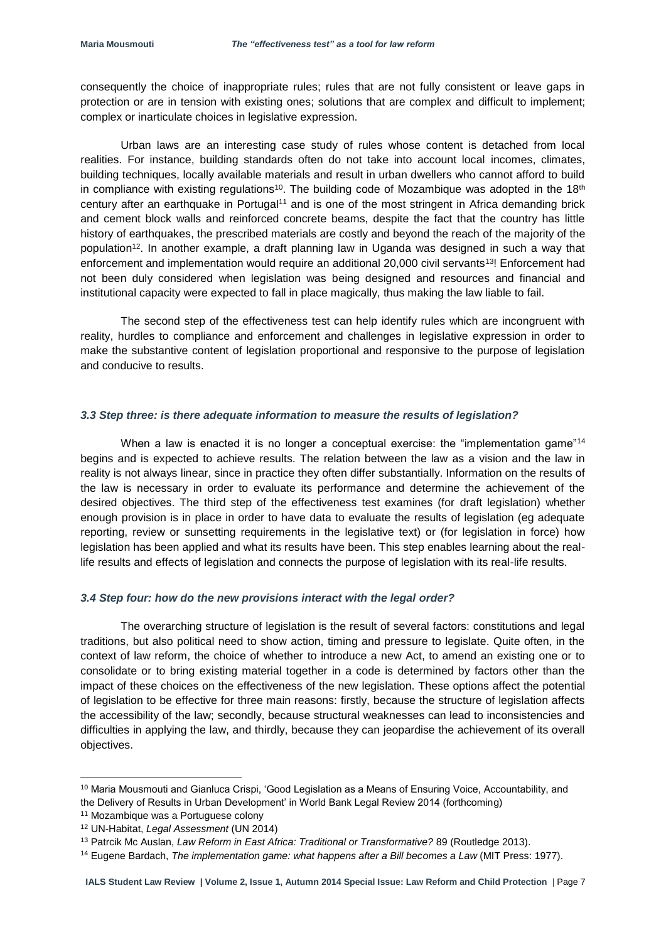consequently the choice of inappropriate rules; rules that are not fully consistent or leave gaps in protection or are in tension with existing ones; solutions that are complex and difficult to implement; complex or inarticulate choices in legislative expression.

Urban laws are an interesting case study of rules whose content is detached from local realities. For instance, building standards often do not take into account local incomes, climates, building techniques, locally available materials and result in urban dwellers who cannot afford to build in compliance with existing regulations<sup>10</sup>. The building code of Mozambique was adopted in the  $18<sup>th</sup>$ century after an earthquake in Portugal<sup>11</sup> and is one of the most stringent in Africa demanding brick and cement block walls and reinforced concrete beams, despite the fact that the country has little history of earthquakes, the prescribed materials are costly and beyond the reach of the majority of the population<sup>12</sup>. In another example, a draft planning law in Uganda was designed in such a way that enforcement and implementation would require an additional 20,000 civil servants<sup>13!</sup> Enforcement had not been duly considered when legislation was being designed and resources and financial and institutional capacity were expected to fall in place magically, thus making the law liable to fail.

The second step of the effectiveness test can help identify rules which are incongruent with reality, hurdles to compliance and enforcement and challenges in legislative expression in order to make the substantive content of legislation proportional and responsive to the purpose of legislation and conducive to results.

### *3.3 Step three: is there adequate information to measure the results of legislation?*

When a law is enacted it is no longer a conceptual exercise: the "implementation game"<sup>14</sup> begins and is expected to achieve results. The relation between the law as a vision and the law in reality is not always linear, since in practice they often differ substantially. Information on the results of the law is necessary in order to evaluate its performance and determine the achievement of the desired objectives. The third step of the effectiveness test examines (for draft legislation) whether enough provision is in place in order to have data to evaluate the results of legislation (eg adequate reporting, review or sunsetting requirements in the legislative text) or (for legislation in force) how legislation has been applied and what its results have been. This step enables learning about the reallife results and effects of legislation and connects the purpose of legislation with its real-life results.

#### *3.4 Step four: how do the new provisions interact with the legal order?*

The overarching structure of legislation is the result of several factors: constitutions and legal traditions, but also political need to show action, timing and pressure to legislate. Quite often, in the context of law reform, the choice of whether to introduce a new Act, to amend an existing one or to consolidate or to bring existing material together in a code is determined by factors other than the impact of these choices on the effectiveness of the new legislation. These options affect the potential of legislation to be effective for three main reasons: firstly, because the structure of legislation affects the accessibility of the law; secondly, because structural weaknesses can lead to inconsistencies and difficulties in applying the law, and thirdly, because they can jeopardise the achievement of its overall objectives.

**.** 

<sup>&</sup>lt;sup>10</sup> Maria Mousmouti and Gianluca Crispi, 'Good Legislation as a Means of Ensuring Voice, Accountability, and the Delivery of Results in Urban Development' in World Bank Legal Review 2014 (forthcoming)

<sup>&</sup>lt;sup>11</sup> Mozambique was a Portuguese colony

<sup>12</sup> UN-Habitat, *Legal Assessment* (UN 2014)

<sup>13</sup> Patrcik Mc Auslan, *Law Reform in East Africa: Traditional or Transformative?* 89 (Routledge 2013).

<sup>14</sup> Eugene Bardach, *The implementation game: what happens after a Bill becomes a Law* (MIT Press: 1977).